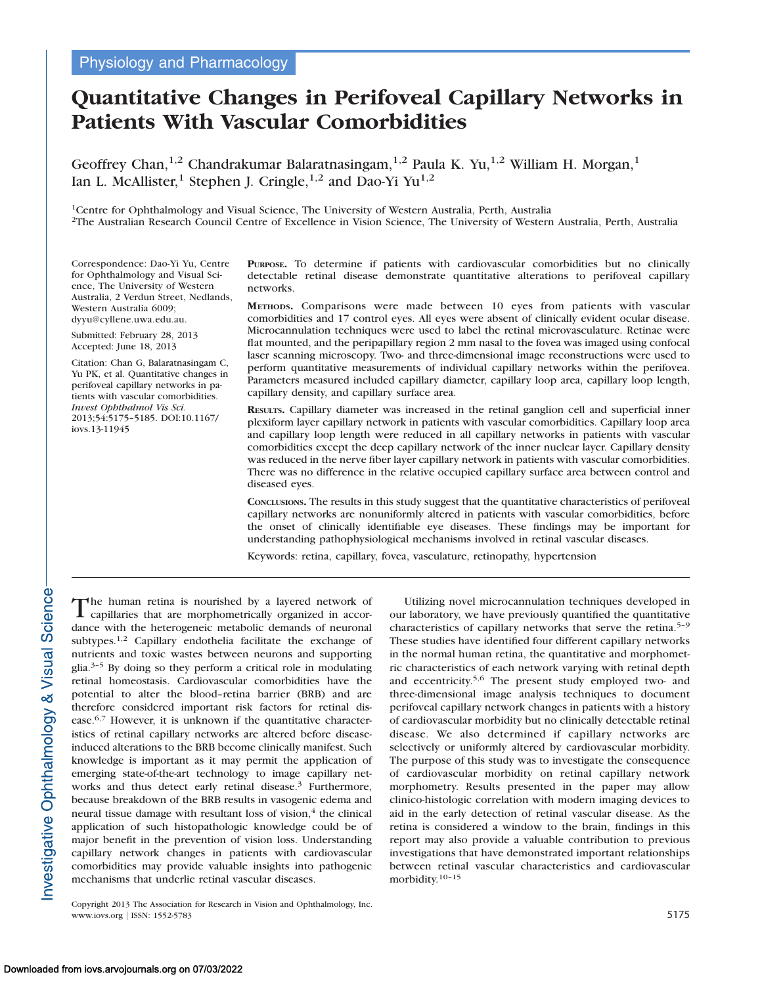# Quantitative Changes in Perifoveal Capillary Networks in Patients With Vascular Comorbidities

Geoffrey Chan,<sup>1,2</sup> Chandrakumar Balaratnasingam,<sup>1,2</sup> Paula K. Yu,<sup>1,2</sup> William H. Morgan,<sup>1</sup> Ian L. McAllister,<sup>1</sup> Stephen J. Cringle,<sup>1,2</sup> and Dao-Yi Yu<sup>1,2</sup>

<sup>1</sup>Centre for Ophthalmology and Visual Science, The University of Western Australia, Perth, Australia 2The Australian Research Council Centre of Excellence in Vision Science, The University of Western Australia, Perth, Australia

Correspondence: Dao-Yi Yu, Centre for Ophthalmology and Visual Science, The University of Western Australia, 2 Verdun Street, Nedlands, Western Australia 6009; dyyu@cyllene.uwa.edu.au.

Submitted: February 28, 2013 Accepted: June 18, 2013

Citation: Chan G, Balaratnasingam C, Yu PK, et al. Quantitative changes in perifoveal capillary networks in patients with vascular comorbidities. Invest Ophthalmol Vis Sci. 2013;54:5175–5185. DOI:10.1167/ iovs.13-11945

PURPOSE. To determine if patients with cardiovascular comorbidities but no clinically detectable retinal disease demonstrate quantitative alterations to perifoveal capillary networks.

METHODS. Comparisons were made between 10 eyes from patients with vascular comorbidities and 17 control eyes. All eyes were absent of clinically evident ocular disease. Microcannulation techniques were used to label the retinal microvasculature. Retinae were flat mounted, and the peripapillary region 2 mm nasal to the fovea was imaged using confocal laser scanning microscopy. Two- and three-dimensional image reconstructions were used to perform quantitative measurements of individual capillary networks within the perifovea. Parameters measured included capillary diameter, capillary loop area, capillary loop length, capillary density, and capillary surface area.

RESULTS. Capillary diameter was increased in the retinal ganglion cell and superficial inner plexiform layer capillary network in patients with vascular comorbidities. Capillary loop area and capillary loop length were reduced in all capillary networks in patients with vascular comorbidities except the deep capillary network of the inner nuclear layer. Capillary density was reduced in the nerve fiber layer capillary network in patients with vascular comorbidities. There was no difference in the relative occupied capillary surface area between control and diseased eyes.

CONCLUSIONS. The results in this study suggest that the quantitative characteristics of perifoveal capillary networks are nonuniformly altered in patients with vascular comorbidities, before the onset of clinically identifiable eye diseases. These findings may be important for understanding pathophysiological mechanisms involved in retinal vascular diseases.

Keywords: retina, capillary, fovea, vasculature, retinopathy, hypertension

The human retina is nourished by a layered network of<br>capillaries that are not in capillaries that are morphometrically organized in accordance with the heterogeneic metabolic demands of neuronal subtypes.<sup>1,2</sup> Capillary endothelia facilitate the exchange of nutrients and toxic wastes between neurons and supporting glia.3–5 By doing so they perform a critical role in modulating retinal homeostasis. Cardiovascular comorbidities have the potential to alter the blood–retina barrier (BRB) and are therefore considered important risk factors for retinal disease.<sup>6,7</sup> However, it is unknown if the quantitative characteristics of retinal capillary networks are altered before diseaseinduced alterations to the BRB become clinically manifest. Such knowledge is important as it may permit the application of emerging state-of-the-art technology to image capillary networks and thus detect early retinal disease.<sup>3</sup> Furthermore, because breakdown of the BRB results in vasogenic edema and neural tissue damage with resultant loss of vision, $4$  the clinical application of such histopathologic knowledge could be of major benefit in the prevention of vision loss. Understanding capillary network changes in patients with cardiovascular comorbidities may provide valuable insights into pathogenic mechanisms that underlie retinal vascular diseases.

Copyright 2013 The Association for Research in Vision and Ophthalmology, Inc. www.iovs.org | ISSN: 1552-5783 5175

Utilizing novel microcannulation techniques developed in our laboratory, we have previously quantified the quantitative characteristics of capillary networks that serve the retina.<sup>5-9</sup> These studies have identified four different capillary networks in the normal human retina, the quantitative and morphometric characteristics of each network varying with retinal depth and eccentricity.5,6 The present study employed two- and three-dimensional image analysis techniques to document perifoveal capillary network changes in patients with a history of cardiovascular morbidity but no clinically detectable retinal disease. We also determined if capillary networks are selectively or uniformly altered by cardiovascular morbidity. The purpose of this study was to investigate the consequence of cardiovascular morbidity on retinal capillary network morphometry. Results presented in the paper may allow clinico-histologic correlation with modern imaging devices to aid in the early detection of retinal vascular disease. As the retina is considered a window to the brain, findings in this report may also provide a valuable contribution to previous investigations that have demonstrated important relationships between retinal vascular characteristics and cardiovascular morbidity.<sup>10–15</sup>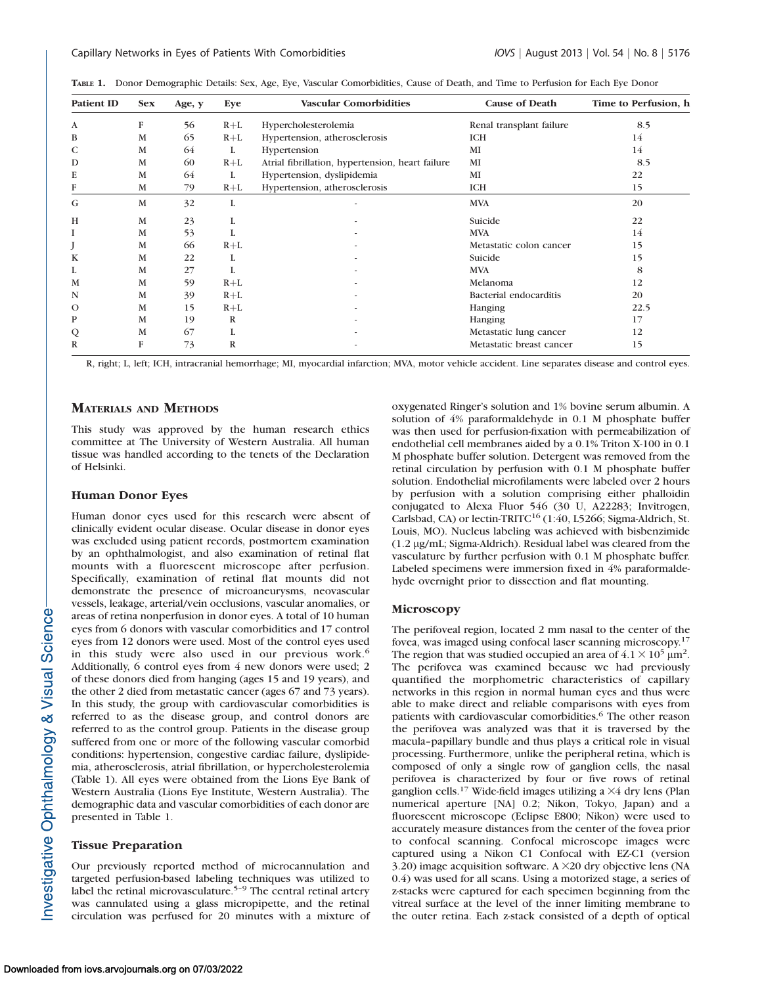| Patient ID | <b>Sex</b> | Age, y | Eye          | <b>Vascular Comorbidities</b>                    | <b>Cause of Death</b>    | Time to Perfusion, h |
|------------|------------|--------|--------------|--------------------------------------------------|--------------------------|----------------------|
| A          | F          | 56     | $R+L$        | Hypercholesterolemia                             | Renal transplant failure | 8.5                  |
| B          | M          | 65     | $R+L$        | Hypertension, atherosclerosis                    | ICH                      | 14                   |
| C          | M          | 64     | L            | Hypertension                                     | MI                       | 14                   |
| D          | M          | 60     | $R+L$        | Atrial fibrillation, hypertension, heart failure | MI                       | 8.5                  |
| E          | M          | 64     | L            | Hypertension, dyslipidemia                       | MI                       | 22                   |
| F          | M          | 79     | $R+L$        | Hypertension, atherosclerosis                    | ICH                      | 15                   |
| G          | M          | 32     | L            |                                                  | <b>MVA</b>               | 20                   |
| H          | M          | 23     | L            |                                                  | Suicide                  | 22                   |
|            | M          | 53     |              |                                                  | <b>MVA</b>               | 14                   |
|            | M          | 66     | $R+L$        |                                                  | Metastatic colon cancer  | 15                   |
| K          | M          | 22     | L            |                                                  | Suicide                  | 15                   |
| L          | M          | 27     | L            |                                                  | <b>MVA</b>               | 8                    |
| M          | M          | 59     | $R+L$        |                                                  | Melanoma                 | 12                   |
| N          | M          | 39     | $R+L$        |                                                  | Bacterial endocarditis   | 20                   |
| $\circ$    | M          | 15     | $R+L$        |                                                  | Hanging                  | 22.5                 |
| P          | M          | 19     | R            |                                                  | Hanging                  | 17                   |
| Q          | M          | 67     | L            |                                                  | Metastatic lung cancer   | 12                   |
| R          | F          | 73     | $\mathbb{R}$ |                                                  | Metastatic breast cancer | 15                   |

TABLE 1. Donor Demographic Details: Sex, Age, Eye, Vascular Comorbidities, Cause of Death, and Time to Perfusion for Each Eye Donor

R, right; L, left; ICH, intracranial hemorrhage; MI, myocardial infarction; MVA, motor vehicle accident. Line separates disease and control eyes.

# MATERIALS AND METHODS

This study was approved by the human research ethics committee at The University of Western Australia. All human tissue was handled according to the tenets of the Declaration of Helsinki.

#### Human Donor Eyes

Human donor eyes used for this research were absent of clinically evident ocular disease. Ocular disease in donor eyes was excluded using patient records, postmortem examination by an ophthalmologist, and also examination of retinal flat mounts with a fluorescent microscope after perfusion. Specifically, examination of retinal flat mounts did not demonstrate the presence of microaneurysms, neovascular vessels, leakage, arterial/vein occlusions, vascular anomalies, or areas of retina nonperfusion in donor eyes. A total of 10 human eyes from 6 donors with vascular comorbidities and 17 control eyes from 12 donors were used. Most of the control eyes used in this study were also used in our previous work.<sup>6</sup> Additionally, 6 control eyes from 4 new donors were used; 2 of these donors died from hanging (ages 15 and 19 years), and the other 2 died from metastatic cancer (ages 67 and 73 years). In this study, the group with cardiovascular comorbidities is referred to as the disease group, and control donors are referred to as the control group. Patients in the disease group suffered from one or more of the following vascular comorbid conditions: hypertension, congestive cardiac failure, dyslipidemia, atherosclerosis, atrial fibrillation, or hypercholesterolemia (Table 1). All eyes were obtained from the Lions Eye Bank of Western Australia (Lions Eye Institute, Western Australia). The demographic data and vascular comorbidities of each donor are presented in Table 1.

## Tissue Preparation

Our previously reported method of microcannulation and targeted perfusion-based labeling techniques was utilized to label the retinal microvasculature.<sup>5-9</sup> The central retinal artery was cannulated using a glass micropipette, and the retinal circulation was perfused for 20 minutes with a mixture of oxygenated Ringer's solution and 1% bovine serum albumin. A solution of 4% paraformaldehyde in 0.1 M phosphate buffer was then used for perfusion-fixation with permeabilization of endothelial cell membranes aided by a 0.1% Triton X-100 in 0.1 M phosphate buffer solution. Detergent was removed from the retinal circulation by perfusion with 0.1 M phosphate buffer solution. Endothelial microfilaments were labeled over 2 hours by perfusion with a solution comprising either phalloidin conjugated to Alexa Fluor 546 (30 U, A22283; Invitrogen, Carlsbad, CA) or lectin-TRITC<sup>16</sup> (1:40, L5266; Sigma-Aldrich, St. Louis, MO). Nucleus labeling was achieved with bisbenzimide (1.2 lg/mL; Sigma-Aldrich). Residual label was cleared from the vasculature by further perfusion with 0.1 M phosphate buffer. Labeled specimens were immersion fixed in 4% paraformaldehyde overnight prior to dissection and flat mounting.

#### Microscopy

The perifoveal region, located 2 mm nasal to the center of the fovea, was imaged using confocal laser scanning microscopy.17 The region that was studied occupied an area of  $4.1 \times 10^5$   $\mu$ m<sup>2</sup>. The perifovea was examined because we had previously quantified the morphometric characteristics of capillary networks in this region in normal human eyes and thus were able to make direct and reliable comparisons with eyes from patients with cardiovascular comorbidities.<sup>6</sup> The other reason the perifovea was analyzed was that it is traversed by the macula–papillary bundle and thus plays a critical role in visual processing. Furthermore, unlike the peripheral retina, which is composed of only a single row of ganglion cells, the nasal perifovea is characterized by four or five rows of retinal ganglion cells.<sup>17</sup> Wide-field images utilizing a  $\times$ 4 dry lens (Plan numerical aperture [NA] 0.2; Nikon, Tokyo, Japan) and a fluorescent microscope (Eclipse E800; Nikon) were used to accurately measure distances from the center of the fovea prior to confocal scanning. Confocal microscope images were captured using a Nikon C1 Confocal with EZ-C1 (version 3.20) image acquisition software. A  $\times$ 20 dry objective lens (NA 0.4) was used for all scans. Using a motorized stage, a series of z-stacks were captured for each specimen beginning from the vitreal surface at the level of the inner limiting membrane to the outer retina. Each z-stack consisted of a depth of optical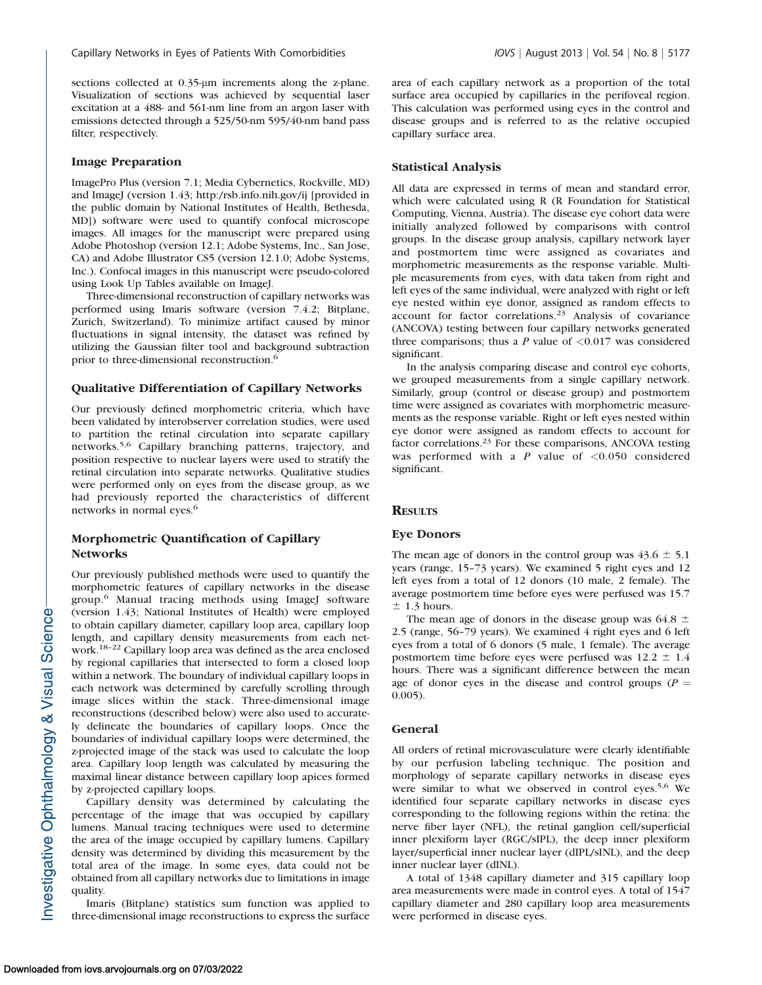sections collected at 0.35-µm increments along the z-plane. Visualization of sections was achieved by sequential laser excitation at a 488- and 561-nm line from an argon laser with emissions detected through a 525/50-nm 595/40-nm band pass filter, respectively.

# Image Preparation

ImagePro Plus (version 7.1; Media Cybernetics, Rockville, MD) and ImageJ (version 1.43; http:/rsb.info.nih.gov/ij [provided in the public domain by National Institutes of Health, Bethesda, MD]) software were used to quantify confocal microscope images. All images for the manuscript were prepared using Adobe Photoshop (version 12.1; Adobe Systems, Inc., San Jose, CA) and Adobe Illustrator CS5 (version 12.1.0; Adobe Systems, Inc.). Confocal images in this manuscript were pseudo-colored using Look Up Tables available on ImageJ.

Three-dimensional reconstruction of capillary networks was performed using Imaris software (version 7.4.2; Bitplane, Zurich, Switzerland). To minimize artifact caused by minor fluctuations in signal intensity, the dataset was refined by utilizing the Gaussian filter tool and background subtraction prior to three-dimensional reconstruction.<sup>6</sup>

# Qualitative Differentiation of Capillary Networks

Our previously defined morphometric criteria, which have been validated by interobserver correlation studies, were used to partition the retinal circulation into separate capillary networks.5,6 Capillary branching patterns, trajectory, and position respective to nuclear layers were used to stratify the retinal circulation into separate networks. Qualitative studies were performed only on eyes from the disease group, as we had previously reported the characteristics of different networks in normal eyes.6

# Morphometric Quantification of Capillary **Networks**

Our previously published methods were used to quantify the morphometric features of capillary networks in the disease group.<sup>6</sup> Manual tracing methods using ImageJ software (version 1.43; National Institutes of Health) were employed to obtain capillary diameter, capillary loop area, capillary loop length, and capillary density measurements from each network.18–22 Capillary loop area was defined as the area enclosed by regional capillaries that intersected to form a closed loop within a network. The boundary of individual capillary loops in each network was determined by carefully scrolling through image slices within the stack. Three-dimensional image reconstructions (described below) were also used to accurately delineate the boundaries of capillary loops. Once the boundaries of individual capillary loops were determined, the z-projected image of the stack was used to calculate the loop area. Capillary loop length was calculated by measuring the maximal linear distance between capillary loop apices formed by z-projected capillary loops.

Capillary density was determined by calculating the percentage of the image that was occupied by capillary lumens. Manual tracing techniques were used to determine the area of the image occupied by capillary lumens. Capillary density was determined by dividing this measurement by the total area of the image. In some eyes, data could not be obtained from all capillary networks due to limitations in image quality.

Imaris (Bitplane) statistics sum function was applied to three-dimensional image reconstructions to express the surface

area of each capillary network as a proportion of the total surface area occupied by capillaries in the perifoveal region. This calculation was performed using eyes in the control and disease groups and is referred to as the relative occupied capillary surface area.

#### Statistical Analysis

All data are expressed in terms of mean and standard error, which were calculated using R (R Foundation for Statistical Computing, Vienna, Austria). The disease eye cohort data were initially analyzed followed by comparisons with control groups. In the disease group analysis, capillary network layer and postmortem time were assigned as covariates and morphometric measurements as the response variable. Multiple measurements from eyes, with data taken from right and left eyes of the same individual, were analyzed with right or left eye nested within eye donor, assigned as random effects to account for factor correlations.<sup>23</sup> Analysis of covariance (ANCOVA) testing between four capillary networks generated three comparisons; thus a  $P$  value of  $\langle 0.017 \rangle$  was considered significant.

In the analysis comparing disease and control eye cohorts, we grouped measurements from a single capillary network. Similarly, group (control or disease group) and postmortem time were assigned as covariates with morphometric measurements as the response variable. Right or left eyes nested within eye donor were assigned as random effects to account for factor correlations.<sup>23</sup> For these comparisons, ANCOVA testing was performed with a  $P$  value of  $\leq 0.050$  considered significant.

#### **RESULTS**

#### Eye Donors

The mean age of donors in the control group was  $43.6 \pm 5.1$ years (range, 15–73 years). We examined 5 right eyes and 12 left eyes from a total of 12 donors (10 male, 2 female). The average postmortem time before eyes were perfused was 15.7  $±$  1.3 hours.

The mean age of donors in the disease group was 64.8  $\pm$ 2.5 (range, 56–79 years). We examined 4 right eyes and 6 left eyes from a total of 6 donors (5 male, 1 female). The average postmortem time before eyes were perfused was  $12.2 \pm 1.4$ hours. There was a significant difference between the mean age of donor eyes in the disease and control groups ( $P =$ 0.005).

# General

All orders of retinal microvasculature were clearly identifiable by our perfusion labeling technique. The position and morphology of separate capillary networks in disease eyes were similar to what we observed in control eyes.<sup>5,6</sup> We identified four separate capillary networks in disease eyes corresponding to the following regions within the retina: the nerve fiber layer (NFL), the retinal ganglion cell/superficial inner plexiform layer (RGC/sIPL), the deep inner plexiform layer/superficial inner nuclear layer (dIPL/sINL), and the deep inner nuclear layer (dINL).

A total of 1348 capillary diameter and 315 capillary loop area measurements were made in control eyes. A total of 1547 capillary diameter and 280 capillary loop area measurements were performed in disease eyes.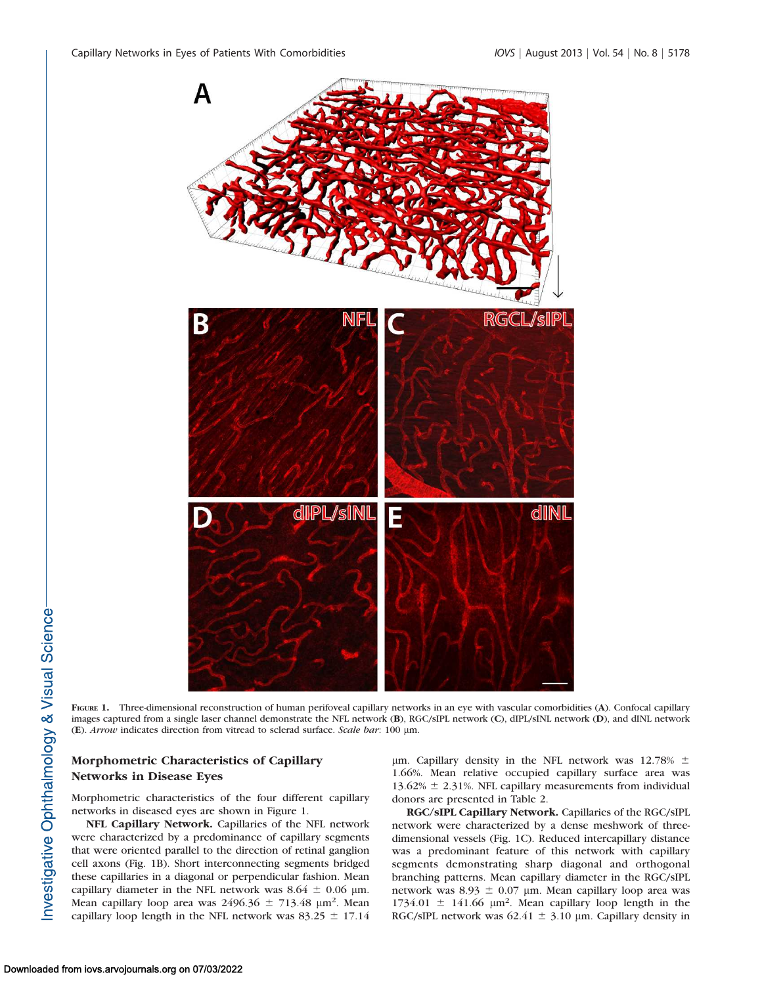

FIGURE 1. Three-dimensional reconstruction of human perifoveal capillary networks in an eye with vascular comorbidities (A). Confocal capillary images captured from a single laser channel demonstrate the NFL network (B), RGC/sIPL network (C), dIPL/sINL network (D), and dINL network (E). Arrow indicates direction from vitread to sclerad surface. Scale bar: 100  $\mu$ m.

# Morphometric Characteristics of Capillary Networks in Disease Eyes

Morphometric characteristics of the four different capillary networks in diseased eyes are shown in Figure 1.

NFL Capillary Network. Capillaries of the NFL network were characterized by a predominance of capillary segments that were oriented parallel to the direction of retinal ganglion cell axons (Fig. 1B). Short interconnecting segments bridged these capillaries in a diagonal or perpendicular fashion. Mean capillary diameter in the NFL network was  $8.64 \pm 0.06$  µm. Mean capillary loop area was  $2496.36 \pm 713.48 \text{ }\mu\text{m}^2$ . Mean capillary loop length in the NFL network was  $83.25 \pm 17.14$  µm. Capillary density in the NFL network was 12.78%  $\pm$ 1.66%. Mean relative occupied capillary surface area was 13.62%  $\pm$  2.31%. NFL capillary measurements from individual donors are presented in Table 2.

RGC/sIPL Capillary Network. Capillaries of the RGC/sIPL network were characterized by a dense meshwork of threedimensional vessels (Fig. 1C). Reduced intercapillary distance was a predominant feature of this network with capillary segments demonstrating sharp diagonal and orthogonal branching patterns. Mean capillary diameter in the RGC/sIPL network was 8.93  $\pm$  0.07 µm. Mean capillary loop area was  $1734.01 \pm 141.66$   $\mu$ m<sup>2</sup>. Mean capillary loop length in the RGC/sIPL network was  $62.41 \pm 3.10$  µm. Capillary density in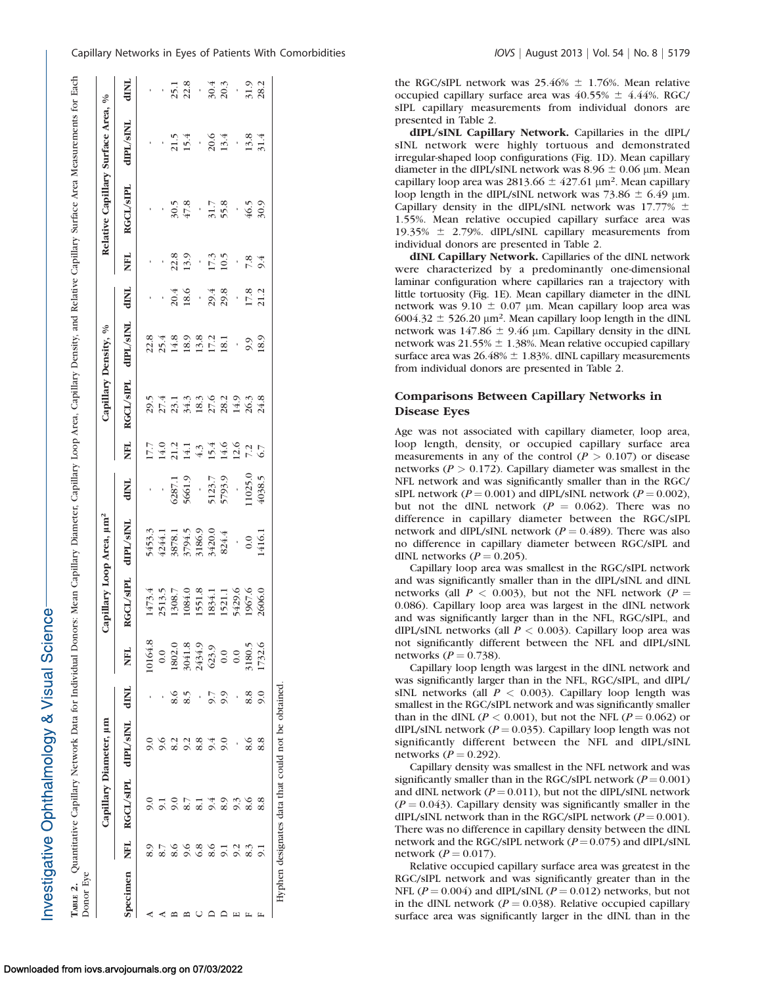|          |                         |                   | Capillary Diameter, um |             |                           | Capillary Loop Area, um <sup>2</sup> |                  |               |                      | Capillary Density, % |                |      |                     | Relative Capillary Surface Area, % |                          |                      |
|----------|-------------------------|-------------------|------------------------|-------------|---------------------------|--------------------------------------|------------------|---------------|----------------------|----------------------|----------------|------|---------------------|------------------------------------|--------------------------|----------------------|
| Specimen | <b>NFL</b>              |                   | RGCL/sIPL dIPL/sINL    | <b>HNIP</b> | NFL                       | RGCL/sIPL                            | dIPL/sINL        | <b>dINIL</b>  | NFL.                 | RGCL/sIPL            | dIPL/sINL dINL |      | <b>NFL</b>          | RGCL/sIPL                          | dIPL/sINL                | dINL                 |
|          | 8.9                     |                   |                        |             | .0164.8                   | 1473.4                               |                  |               | 17.7                 | 29.5                 | 22.8           |      |                     |                                    |                          |                      |
|          | 8.7                     |                   |                        |             | 0.0                       | 2513.5                               | 5453.3<br>4244.1 |               |                      |                      | 25.4           |      |                     |                                    |                          |                      |
|          |                         | 5.0<br>5.0<br>8.7 |                        | 8.6         | 1802.0                    | 1308.7                               | 3878.1           | 6287.1        |                      |                      | 14.8           | 20.4 | 22.8                | 50.5                               | 21.5                     |                      |
|          | 8008                    |                   | 9.2                    |             |                           | 1084.0                               | 3794.5           | 5661.9        |                      |                      | 18.9           | 18.6 | 13.9                | 47.8                               | 15.4                     | 25.1<br>22.8         |
|          |                         | 8.1               | 8.8                    |             | 3041.8<br>2434.9<br>623.9 | 1551.8                               | 3186.9           | $\frac{1}{2}$ | $14.747446$ $14.746$ |                      | 13.8           |      | j                   |                                    |                          |                      |
|          | 8.6                     | 9.4               |                        | 5.6         |                           | 1834.1                               | 3420.0           | 5123.7        |                      |                      | 17.2           | 29.4 |                     |                                    | $-20.6$                  | $30.\frac{4}{3}$     |
|          | 9.1                     | 8.9               | $\overline{6}$         | 9.9         | 0.0                       | 1521.1                               | 824.4            | 5793.9        |                      |                      | 18.1           | 29.8 | $\frac{17.3}{10.5}$ | 31.7<br>55.8                       | 13.4                     |                      |
|          |                         | $9.\overline{3}$  |                        |             | 0.0                       | 5429.6                               | í                |               | 12.6                 |                      | ł              |      | ł                   | í                                  | $\overline{\phantom{a}}$ | $\ddot{\phantom{0}}$ |
|          | $9.\overline{3}$<br>8.3 | 8.6               | $\frac{8}{6}$          | 8.8         | 3180.5                    | 1967.6                               | 0.0              | 1025.0        | 7.2                  | 26.3<br>24.8         | 9.9            | 17.8 | 7.8                 | 46.5                               | 13.8                     | 31.9<br>28.2         |
|          | 51                      | 8.8               | 8.8                    | $\tilde{6}$ | 1732.6                    | 2606.0                               | 1416.1           | 4038.5        | 67                   |                      | 18.9           | 21.2 | 9.4                 | 30.9                               | 31.4                     |                      |

the RGC/sIPL network was  $25.46\% \pm 1.76\%$ . Mean relative occupied capillary surface area was  $40.55\% \pm 4.44\%$ . RGC/ sIPL capillary measurements from individual donors are presented in Table 2.

dIPL/sINL Capillary Network. Capillaries in the dIPL/ sINL network were highly tortuous and demonstrated irregular-shaped loop configurations (Fig. 1D). Mean capillary diameter in the dIPL/sINL network was  $8.96 \pm 0.06$  µm. Mean capillary loop area was 2813.66  $\pm$  427.61 µm<sup>2</sup>. Mean capillary loop length in the dIPL/sINL network was  $73.86 \pm 6.49$  µm. Capillary density in the dIPL/sINL network was 17.77%  $\pm$ 1.55%. Mean relative occupied capillary surface area was 19.35%  $\pm$  2.79%. dIPL/sINL capillary measurements from individual donors are presented in Table 2.

dINL Capillary Network. Capillaries of the dINL network were characterized by a predominantly one-dimensional laminar configuration where capillaries ran a trajectory with little tortuosity (Fig. 1E). Mean capillary diameter in the dINL network was  $9.10 \pm 0.07$  µm. Mean capillary loop area was 6004.32  $\pm$  526.20  $\mu$ m<sup>2</sup>. Mean capillary loop length in the dINL network was  $147.86 \pm 9.46$  µm. Capillary density in the dINL network was  $21.55\% \pm 1.38\%$ . Mean relative occupied capillary surface area was  $26.48\% \pm 1.83\%$ . dINL capillary measurements from individual donors are presented in Table 2.

# Comparisons Between Capillary Networks in Disease Eyes

Age was not associated with capillary diameter, loop area, loop length, density, or occupied capillary surface area measurements in any of the control  $(P > 0.107)$  or disease networks ( $P > 0.172$ ). Capillary diameter was smallest in the NFL network and was significantly smaller than in the RGC/ sIPL network ( $P = 0.001$ ) and dIPL/sINL network ( $P = 0.002$ ), but not the dINL network ( $P = 0.062$ ). There was no difference in capillary diameter between the RGC/sIPL network and dIPL/sINL network ( $P = 0.489$ ). There was also no difference in capillary diameter between RGC/sIPL and dINL networks ( $P = 0.205$ ).

Capillary loop area was smallest in the RGC/sIPL network and was significantly smaller than in the dIPL/sINL and dINL networks (all  $P < 0.003$ ), but not the NFL network ( $P =$ 0.086). Capillary loop area was largest in the dINL network and was significantly larger than in the NFL, RGC/sIPL, and dIPL/sINL networks (all  $P < 0.003$ ). Capillary loop area was not significantly different between the NFL and dIPL/sINL networks ( $P = 0.738$ ).

Capillary loop length was largest in the dINL network and was significantly larger than in the NFL, RGC/sIPL, and dIPL/ sINL networks (all  $P < 0.003$ ). Capillary loop length was smallest in the RGC/sIPL network and was significantly smaller than in the dINL ( $P < 0.001$ ), but not the NFL ( $P = 0.062$ ) or dIPL/sINL network ( $P = 0.035$ ). Capillary loop length was not significantly different between the NFL and dIPL/sINL networks ( $P = 0.292$ ).

Capillary density was smallest in the NFL network and was significantly smaller than in the RGC/sIPL network ( $P = 0.001$ ) and dINL network ( $P = 0.011$ ), but not the dIPL/sINL network  $(P = 0.043)$ . Capillary density was significantly smaller in the dIPL/sINL network than in the RGC/sIPL network ( $P = 0.001$ ). There was no difference in capillary density between the dINL network and the RGC/sIPL network ( $P = 0.075$ ) and dIPL/sINL network ( $P = 0.017$ ).

Relative occupied capillary surface area was greatest in the RGC/sIPL network and was significantly greater than in the NFL ( $P = 0.004$ ) and dIPL/sINL ( $P = 0.012$ ) networks, but not in the dINL network ( $P = 0.038$ ). Relative occupied capillary surface area was significantly larger in the dINL than in the

nvestigative Ophthalmology & Visual Science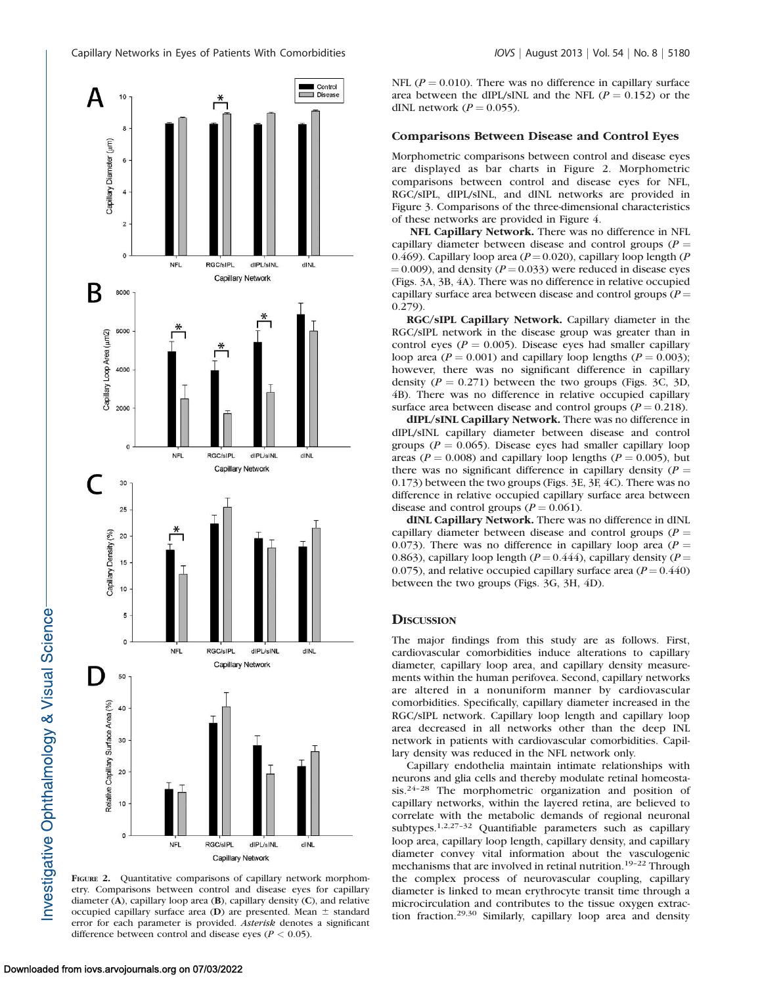

FIGURE 2. Quantitative comparisons of capillary network morphometry. Comparisons between control and disease eyes for capillary diameter (A), capillary loop area (B), capillary density (C), and relative occupied capillary surface area (D) are presented. Mean  $\pm$  standard error for each parameter is provided. Asterisk denotes a significant difference between control and disease eyes ( $P < 0.05$ ).

NFL ( $P = 0.010$ ). There was no difference in capillary surface area between the dIPL/sINL and the NFL ( $P = 0.152$ ) or the dINL network ( $P = 0.055$ ).

#### Comparisons Between Disease and Control Eyes

Morphometric comparisons between control and disease eyes are displayed as bar charts in Figure 2. Morphometric comparisons between control and disease eyes for NFL, RGC/sIPL, dIPL/sINL, and dINL networks are provided in Figure 3. Comparisons of the three-dimensional characteristics of these networks are provided in Figure 4.

NFL Capillary Network. There was no difference in NFL capillary diameter between disease and control groups ( $P =$ 0.469). Capillary loop area ( $P = 0.020$ ), capillary loop length (P  $(0.009)$ , and density ( $P = 0.033$ ) were reduced in disease eyes (Figs. 3A, 3B, 4A). There was no difference in relative occupied capillary surface area between disease and control groups ( $P =$ 0.279).

RGC/sIPL Capillary Network. Capillary diameter in the RGC/sIPL network in the disease group was greater than in control eyes ( $P = 0.005$ ). Disease eyes had smaller capillary loop area ( $P = 0.001$ ) and capillary loop lengths ( $P = 0.003$ ); however, there was no significant difference in capillary density ( $P = 0.271$ ) between the two groups (Figs. 3C, 3D, 4B). There was no difference in relative occupied capillary surface area between disease and control groups ( $P = 0.218$ ).

dIPL/sINL Capillary Network. There was no difference in dIPL/sINL capillary diameter between disease and control groups ( $P = 0.065$ ). Disease eyes had smaller capillary loop areas ( $P = 0.008$ ) and capillary loop lengths ( $P = 0.005$ ), but there was no significant difference in capillary density ( $P =$ 0.173) between the two groups (Figs. 3E, 3F, 4C). There was no difference in relative occupied capillary surface area between disease and control groups ( $P = 0.061$ ).

dINL Capillary Network. There was no difference in dINL capillary diameter between disease and control groups ( $P =$ 0.073). There was no difference in capillary loop area ( $P =$ 0.863), capillary loop length ( $P = 0.444$ ), capillary density ( $P =$ 0.075), and relative occupied capillary surface area ( $P = 0.440$ ) between the two groups (Figs. 3G, 3H, 4D).

#### **DISCUSSION**

The major findings from this study are as follows. First, cardiovascular comorbidities induce alterations to capillary diameter, capillary loop area, and capillary density measurements within the human perifovea. Second, capillary networks are altered in a nonuniform manner by cardiovascular comorbidities. Specifically, capillary diameter increased in the RGC/sIPL network. Capillary loop length and capillary loop area decreased in all networks other than the deep INL network in patients with cardiovascular comorbidities. Capillary density was reduced in the NFL network only.

Capillary endothelia maintain intimate relationships with neurons and glia cells and thereby modulate retinal homeostasis.24–28 The morphometric organization and position of capillary networks, within the layered retina, are believed to correlate with the metabolic demands of regional neuronal subtypes.<sup>1,2,27-32</sup> Quantifiable parameters such as capillary loop area, capillary loop length, capillary density, and capillary diameter convey vital information about the vasculogenic mechanisms that are involved in retinal nutrition.19–22 Through the complex process of neurovascular coupling, capillary diameter is linked to mean erythrocyte transit time through a microcirculation and contributes to the tissue oxygen extraction fraction.29,30 Similarly, capillary loop area and density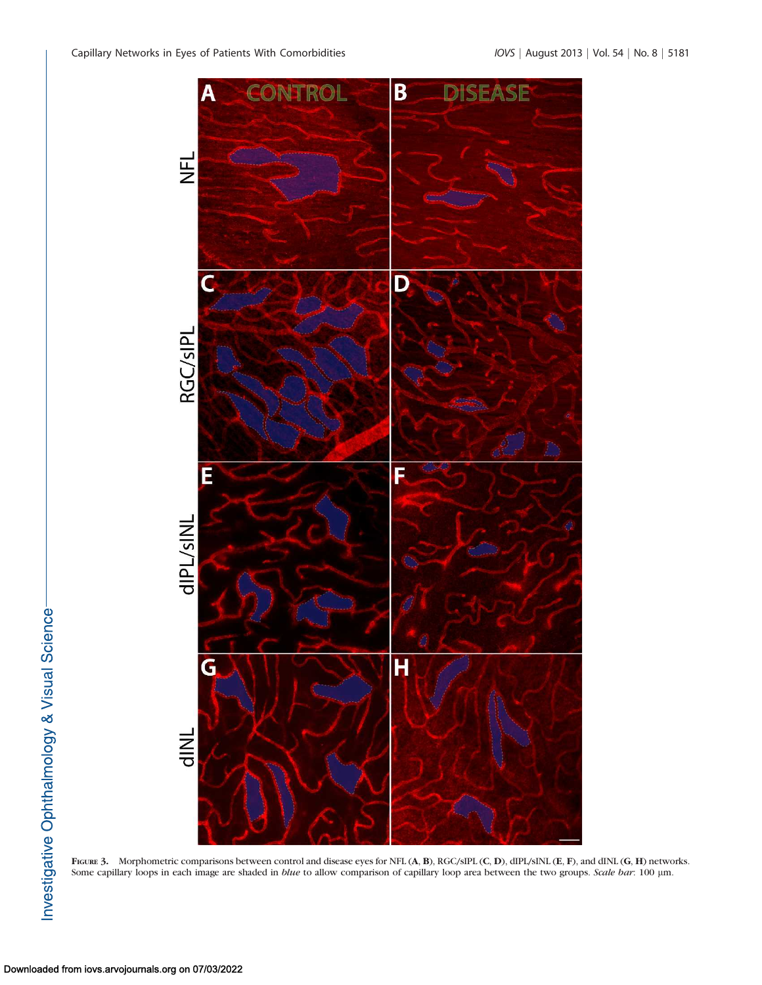



Investigative Ophthalmology & Visual Science-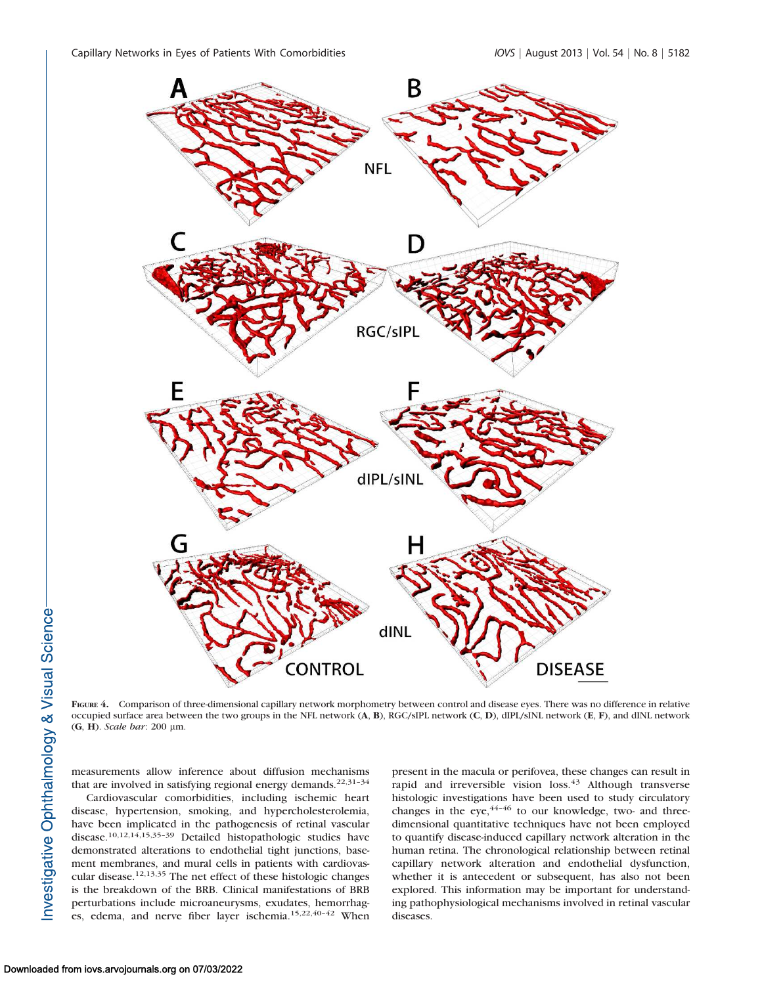

FIGURE 4. Comparison of three-dimensional capillary network morphometry between control and disease eyes. There was no difference in relative occupied surface area between the two groups in the NFL network (A, B), RGC/sIPL network (C, D), dIPL/sINL network (E, F), and dINL network  $(G, H)$ . Scale bar: 200 µm.

measurements allow inference about diffusion mechanisms that are involved in satisfying regional energy demands.<sup>22,31-34</sup>

Cardiovascular comorbidities, including ischemic heart disease, hypertension, smoking, and hypercholesterolemia, have been implicated in the pathogenesis of retinal vascular disease.10,12,14,15,35–39 Detailed histopathologic studies have demonstrated alterations to endothelial tight junctions, basement membranes, and mural cells in patients with cardiovascular disease.12,13,35 The net effect of these histologic changes is the breakdown of the BRB. Clinical manifestations of BRB perturbations include microaneurysms, exudates, hemorrhages, edema, and nerve fiber layer ischemia.15,22,40–42 When

present in the macula or perifovea, these changes can result in rapid and irreversible vision loss.<sup>43</sup> Although transverse histologic investigations have been used to study circulatory changes in the eye,  $44-46$  to our knowledge, two- and threedimensional quantitative techniques have not been employed to quantify disease-induced capillary network alteration in the human retina. The chronological relationship between retinal capillary network alteration and endothelial dysfunction, whether it is antecedent or subsequent, has also not been explored. This information may be important for understanding pathophysiological mechanisms involved in retinal vascular diseases.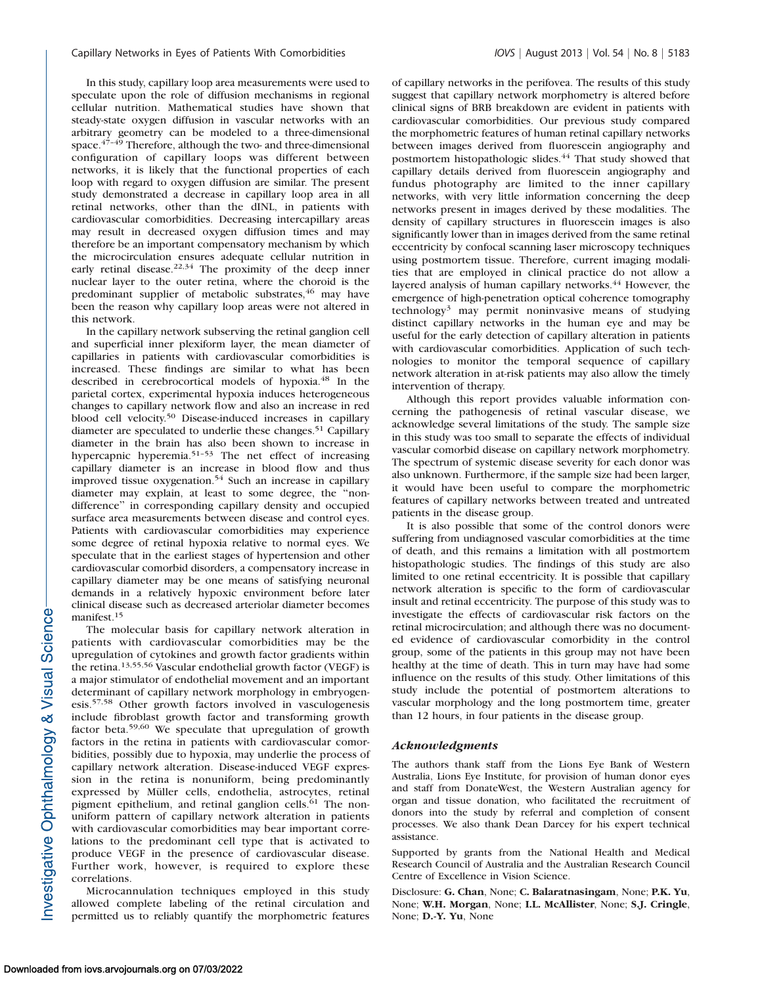In this study, capillary loop area measurements were used to speculate upon the role of diffusion mechanisms in regional cellular nutrition. Mathematical studies have shown that steady-state oxygen diffusion in vascular networks with an arbitrary geometry can be modeled to a three-dimensional space. $47-49$  Therefore, although the two- and three-dimensional configuration of capillary loops was different between networks, it is likely that the functional properties of each loop with regard to oxygen diffusion are similar. The present study demonstrated a decrease in capillary loop area in all retinal networks, other than the dINL, in patients with cardiovascular comorbidities. Decreasing intercapillary areas may result in decreased oxygen diffusion times and may therefore be an important compensatory mechanism by which the microcirculation ensures adequate cellular nutrition in early retinal disease. $2^{2,34}$  The proximity of the deep inner nuclear layer to the outer retina, where the choroid is the predominant supplier of metabolic substrates,<sup>46</sup> may have been the reason why capillary loop areas were not altered in this network.

In the capillary network subserving the retinal ganglion cell and superficial inner plexiform layer, the mean diameter of capillaries in patients with cardiovascular comorbidities is increased. These findings are similar to what has been described in cerebrocortical models of hypoxia.<sup>48</sup> In the parietal cortex, experimental hypoxia induces heterogeneous changes to capillary network flow and also an increase in red blood cell velocity.<sup>50</sup> Disease-induced increases in capillary diameter are speculated to underlie these changes.<sup>51</sup> Capillary diameter in the brain has also been shown to increase in hypercapnic hyperemia.<sup>51-53</sup> The net effect of increasing capillary diameter is an increase in blood flow and thus improved tissue oxygenation.<sup>54</sup> Such an increase in capillary diameter may explain, at least to some degree, the ''nondifference'' in corresponding capillary density and occupied surface area measurements between disease and control eyes. Patients with cardiovascular comorbidities may experience some degree of retinal hypoxia relative to normal eyes. We speculate that in the earliest stages of hypertension and other cardiovascular comorbid disorders, a compensatory increase in capillary diameter may be one means of satisfying neuronal demands in a relatively hypoxic environment before later clinical disease such as decreased arteriolar diameter becomes manifest.<sup>15</sup>

The molecular basis for capillary network alteration in patients with cardiovascular comorbidities may be the upregulation of cytokines and growth factor gradients within the retina.13,55,56 Vascular endothelial growth factor (VEGF) is a major stimulator of endothelial movement and an important determinant of capillary network morphology in embryogenesis.57,58 Other growth factors involved in vasculogenesis include fibroblast growth factor and transforming growth factor beta.<sup>59,60</sup> We speculate that upregulation of growth factors in the retina in patients with cardiovascular comorbidities, possibly due to hypoxia, may underlie the process of capillary network alteration. Disease-induced VEGF expression in the retina is nonuniform, being predominantly expressed by Müller cells, endothelia, astrocytes, retinal pigment epithelium, and retinal ganglion cells.<sup>61</sup> The nonuniform pattern of capillary network alteration in patients with cardiovascular comorbidities may bear important correlations to the predominant cell type that is activated to produce VEGF in the presence of cardiovascular disease. Further work, however, is required to explore these correlations.

Microcannulation techniques employed in this study allowed complete labeling of the retinal circulation and permitted us to reliably quantify the morphometric features

of capillary networks in the perifovea. The results of this study suggest that capillary network morphometry is altered before clinical signs of BRB breakdown are evident in patients with cardiovascular comorbidities. Our previous study compared the morphometric features of human retinal capillary networks between images derived from fluorescein angiography and postmortem histopathologic slides.<sup>44</sup> That study showed that capillary details derived from fluorescein angiography and fundus photography are limited to the inner capillary networks, with very little information concerning the deep networks present in images derived by these modalities. The density of capillary structures in fluorescein images is also significantly lower than in images derived from the same retinal eccentricity by confocal scanning laser microscopy techniques using postmortem tissue. Therefore, current imaging modalities that are employed in clinical practice do not allow a layered analysis of human capillary networks.<sup>44</sup> However, the emergence of high-penetration optical coherence tomography technology<sup>3</sup> may permit noninvasive means of studying distinct capillary networks in the human eye and may be useful for the early detection of capillary alteration in patients with cardiovascular comorbidities. Application of such technologies to monitor the temporal sequence of capillary network alteration in at-risk patients may also allow the timely intervention of therapy.

Although this report provides valuable information concerning the pathogenesis of retinal vascular disease, we acknowledge several limitations of the study. The sample size in this study was too small to separate the effects of individual vascular comorbid disease on capillary network morphometry. The spectrum of systemic disease severity for each donor was also unknown. Furthermore, if the sample size had been larger, it would have been useful to compare the morphometric features of capillary networks between treated and untreated patients in the disease group.

It is also possible that some of the control donors were suffering from undiagnosed vascular comorbidities at the time of death, and this remains a limitation with all postmortem histopathologic studies. The findings of this study are also limited to one retinal eccentricity. It is possible that capillary network alteration is specific to the form of cardiovascular insult and retinal eccentricity. The purpose of this study was to investigate the effects of cardiovascular risk factors on the retinal microcirculation; and although there was no documented evidence of cardiovascular comorbidity in the control group, some of the patients in this group may not have been healthy at the time of death. This in turn may have had some influence on the results of this study. Other limitations of this study include the potential of postmortem alterations to vascular morphology and the long postmortem time, greater than 12 hours, in four patients in the disease group.

# Acknowledgments

The authors thank staff from the Lions Eye Bank of Western Australia, Lions Eye Institute, for provision of human donor eyes and staff from DonateWest, the Western Australian agency for organ and tissue donation, who facilitated the recruitment of donors into the study by referral and completion of consent processes. We also thank Dean Darcey for his expert technical assistance.

Supported by grants from the National Health and Medical Research Council of Australia and the Australian Research Council Centre of Excellence in Vision Science.

Disclosure: G. Chan, None; C. Balaratnasingam, None; P.K. Yu, None; W.H. Morgan, None; I.L. McAllister, None; S.J. Cringle, None; D.-Y. Yu, None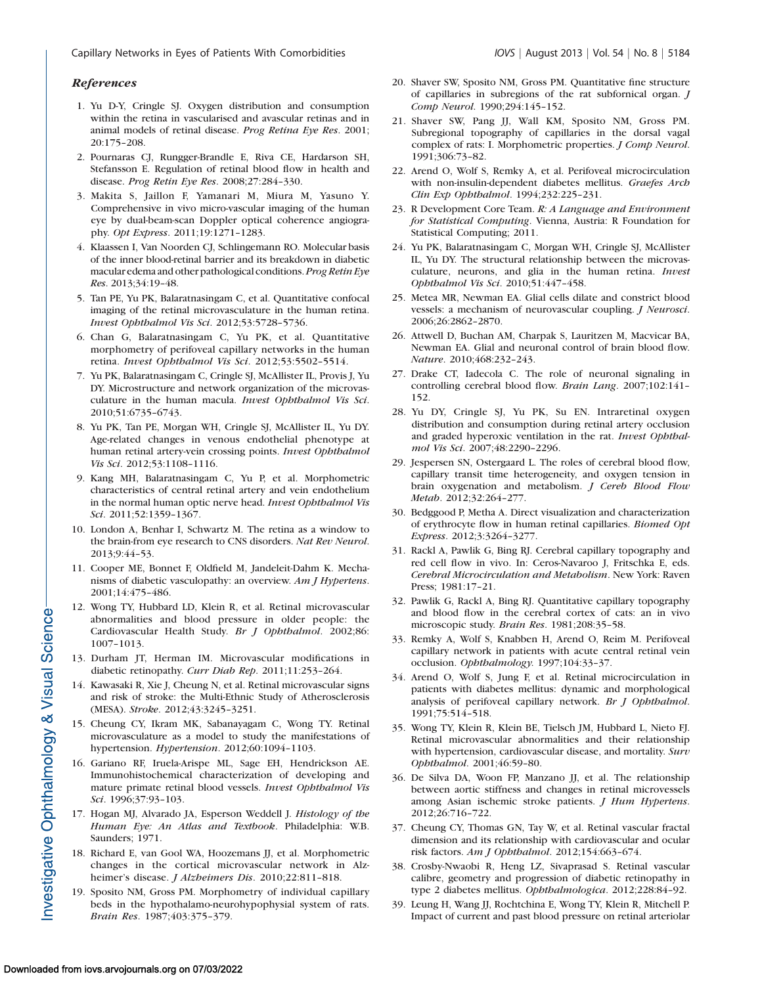# References

- 1. Yu D-Y, Cringle SJ. Oxygen distribution and consumption within the retina in vascularised and avascular retinas and in animal models of retinal disease. Prog Retina Eye Res. 2001; 20:175–208.
- 2. Pournaras CJ, Rungger-Brandle E, Riva CE, Hardarson SH, Stefansson E. Regulation of retinal blood flow in health and disease. Prog Retin Eye Res. 2008;27:284–330.
- 3. Makita S, Jaillon F, Yamanari M, Miura M, Yasuno Y. Comprehensive in vivo micro-vascular imaging of the human eye by dual-beam-scan Doppler optical coherence angiography. Opt Express. 2011;19:1271–1283.
- 4. Klaassen I, Van Noorden CJ, Schlingemann RO. Molecular basis of the inner blood-retinal barrier and its breakdown in diabetic macular edema and other pathological conditions. Prog Retin Eye Res. 2013;34:19–48.
- 5. Tan PE, Yu PK, Balaratnasingam C, et al. Quantitative confocal imaging of the retinal microvasculature in the human retina. Invest Ophthalmol Vis Sci. 2012;53:5728–5736.
- 6. Chan G, Balaratnasingam C, Yu PK, et al. Quantitative morphometry of perifoveal capillary networks in the human retina. Invest Ophthalmol Vis Sci. 2012;53:5502–5514.
- 7. Yu PK, Balaratnasingam C, Cringle SJ, McAllister IL, Provis J, Yu DY. Microstructure and network organization of the microvasculature in the human macula. Invest Ophthalmol Vis Sci. 2010;51:6735–6743.
- 8. Yu PK, Tan PE, Morgan WH, Cringle SJ, McAllister IL, Yu DY. Age-related changes in venous endothelial phenotype at human retinal artery-vein crossing points. Invest Ophthalmol Vis Sci. 2012;53:1108–1116.
- 9. Kang MH, Balaratnasingam C, Yu P, et al. Morphometric characteristics of central retinal artery and vein endothelium in the normal human optic nerve head. Invest Ophthalmol Vis Sci. 2011;52:1359–1367.
- 10. London A, Benhar I, Schwartz M. The retina as a window to the brain-from eye research to CNS disorders. Nat Rev Neurol. 2013;9:44–53.
- 11. Cooper ME, Bonnet F, Oldfield M, Jandeleit-Dahm K. Mechanisms of diabetic vasculopathy: an overview. Am J Hypertens. 2001;14:475–486.
- 12. Wong TY, Hubbard LD, Klein R, et al. Retinal microvascular abnormalities and blood pressure in older people: the Cardiovascular Health Study. Br J Ophthalmol. 2002;86: 1007–1013.
- 13. Durham JT, Herman IM. Microvascular modifications in diabetic retinopathy. Curr Diab Rep. 2011;11:253–264.
- 14. Kawasaki R, Xie J, Cheung N, et al. Retinal microvascular signs and risk of stroke: the Multi-Ethnic Study of Atherosclerosis (MESA). Stroke. 2012;43:3245–3251.
- 15. Cheung CY, Ikram MK, Sabanayagam C, Wong TY. Retinal microvasculature as a model to study the manifestations of hypertension. Hypertension. 2012;60:1094–1103.
- 16. Gariano RF, Iruela-Arispe ML, Sage EH, Hendrickson AE. Immunohistochemical characterization of developing and mature primate retinal blood vessels. Invest Ophthalmol Vis Sci. 1996;37:93–103.
- 17. Hogan MJ, Alvarado JA, Esperson Weddell J. Histology of the Human Eye: An Atlas and Textbook. Philadelphia: W.B. Saunders; 1971.
- 18. Richard E, van Gool WA, Hoozemans JJ, et al. Morphometric changes in the cortical microvascular network in Alzheimer's disease. *J Alzheimers Dis.* 2010;22:811-818.
- 19. Sposito NM, Gross PM. Morphometry of individual capillary beds in the hypothalamo-neurohypophysial system of rats. Brain Res. 1987;403:375–379.
- 20. Shaver SW, Sposito NM, Gross PM. Quantitative fine structure of capillaries in subregions of the rat subfornical organ. J Comp Neurol. 1990;294:145–152.
- 21. Shaver SW, Pang JJ, Wall KM, Sposito NM, Gross PM. Subregional topography of capillaries in the dorsal vagal complex of rats: I. Morphometric properties. J Comp Neurol. 1991;306:73–82.
- 22. Arend O, Wolf S, Remky A, et al. Perifoveal microcirculation with non-insulin-dependent diabetes mellitus. Graefes Arch Clin Exp Ophthalmol. 1994;232:225–231.
- 23. R Development Core Team. R: A Language and Environment for Statistical Computing. Vienna, Austria: R Foundation for Statistical Computing; 2011.
- 24. Yu PK, Balaratnasingam C, Morgan WH, Cringle SJ, McAllister IL, Yu DY. The structural relationship between the microvasculature, neurons, and glia in the human retina. Invest Ophthalmol Vis Sci. 2010;51:447–458.
- 25. Metea MR, Newman EA. Glial cells dilate and constrict blood vessels: a mechanism of neurovascular coupling. J Neurosci. 2006;26:2862–2870.
- 26. Attwell D, Buchan AM, Charpak S, Lauritzen M, Macvicar BA, Newman EA. Glial and neuronal control of brain blood flow. Nature. 2010;468:232–243.
- 27. Drake CT, Iadecola C. The role of neuronal signaling in controlling cerebral blood flow. Brain Lang. 2007;102:141– 152.
- 28. Yu DY, Cringle SJ, Yu PK, Su EN. Intraretinal oxygen distribution and consumption during retinal artery occlusion and graded hyperoxic ventilation in the rat. Invest Ophthalmol Vis Sci. 2007;48:2290–2296.
- 29. Jespersen SN, Ostergaard L. The roles of cerebral blood flow, capillary transit time heterogeneity, and oxygen tension in brain oxygenation and metabolism. J Cereb Blood Flow Metab. 2012;32:264–277.
- 30. Bedggood P, Metha A. Direct visualization and characterization of erythrocyte flow in human retinal capillaries. Biomed Opt Express. 2012;3:3264–3277.
- 31. Rackl A, Pawlik G, Bing RJ. Cerebral capillary topography and red cell flow in vivo. In: Ceros-Navaroo J, Fritschka E, eds. Cerebral Microcirculation and Metabolism. New York: Raven Press; 1981:17–21.
- 32. Pawlik G, Rackl A, Bing RJ. Quantitative capillary topography and blood flow in the cerebral cortex of cats: an in vivo microscopic study. Brain Res. 1981;208:35–58.
- 33. Remky A, Wolf S, Knabben H, Arend O, Reim M. Perifoveal capillary network in patients with acute central retinal vein occlusion. Ophthalmology. 1997;104:33–37.
- 34. Arend O, Wolf S, Jung F, et al. Retinal microcirculation in patients with diabetes mellitus: dynamic and morphological analysis of perifoveal capillary network. Br J Ophthalmol. 1991;75:514–518.
- 35. Wong TY, Klein R, Klein BE, Tielsch JM, Hubbard L, Nieto FJ. Retinal microvascular abnormalities and their relationship with hypertension, cardiovascular disease, and mortality. Surv Ophthalmol. 2001;46:59–80.
- 36. De Silva DA, Woon FP, Manzano JJ, et al. The relationship between aortic stiffness and changes in retinal microvessels among Asian ischemic stroke patients. J Hum Hypertens. 2012;26:716–722.
- 37. Cheung CY, Thomas GN, Tay W, et al. Retinal vascular fractal dimension and its relationship with cardiovascular and ocular risk factors. Am J Ophthalmol. 2012;154:663–674.
- 38. Crosby-Nwaobi R, Heng LZ, Sivaprasad S. Retinal vascular calibre, geometry and progression of diabetic retinopathy in type 2 diabetes mellitus. Ophthalmologica. 2012;228:84–92.
- 39. Leung H, Wang JJ, Rochtchina E, Wong TY, Klein R, Mitchell P. Impact of current and past blood pressure on retinal arteriolar

Investigative Ophthalmology & Visual Science